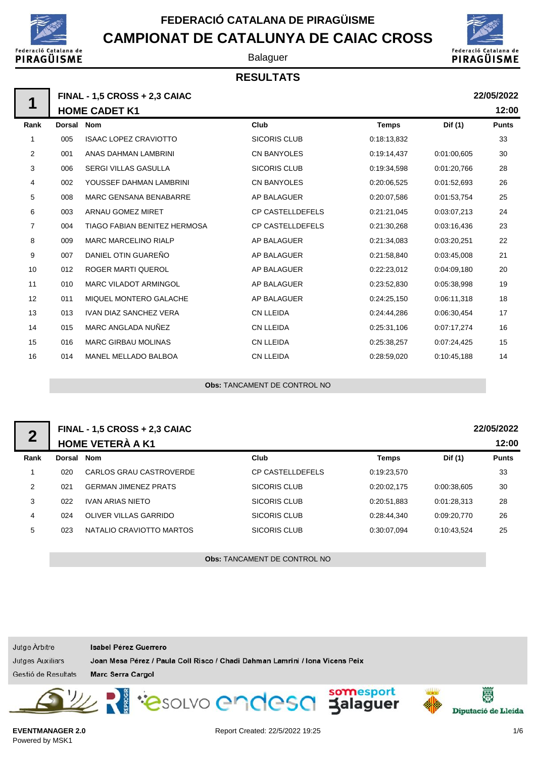

Balaguer

## **RESULTATS**



**22/05/2022**

**12:00**

**FINAL - 1,5 CROSS + 2,3 CAIAC HOME CADET K1 Rank Dorsal Nom Club Temps Dif (1) Punts** 1 005 ISAAC LOPEZ CRAVIOTTO SICORIS CLUB 0:18:13.832 33 2 001 ANAS DAHMAN LAMBRINI CN BANYOLES 0:19:14,437 0:01:00,605 30 **1**

| z  | UU 1 | ANAS DAHMAN LAMBRINI          | UN BANYULES             | 0.19.14.437 | 0.01.00,605 | 30 |
|----|------|-------------------------------|-------------------------|-------------|-------------|----|
| 3  | 006  | <b>SERGI VILLAS GASULLA</b>   | <b>SICORIS CLUB</b>     | 0:19:34,598 | 0:01:20,766 | 28 |
| 4  | 002  | YOUSSEF DAHMAN LAMBRINI       | CN BANYOLES             | 0:20:06,525 | 0.01:52,693 | 26 |
| 5  | 008  | <b>MARC GENSANA BENABARRE</b> | AP BALAGUER             | 0:20:07,586 | 0.01:53,754 | 25 |
| 6  | 003  | ARNAU GOMEZ MIRET             | <b>CP CASTELLDEFELS</b> | 0:21:21,045 | 0:03:07,213 | 24 |
| 7  | 004  | TIAGO FABIAN BENITEZ HERMOSA  | <b>CP CASTELLDEFELS</b> | 0:21:30,268 | 0:03:16,436 | 23 |
| 8  | 009  | <b>MARC MARCELINO RIALP</b>   | AP BALAGUER             | 0:21:34,083 | 0:03:20,251 | 22 |
| 9  | 007  | DANIEL OTIN GUAREÑO           | AP BALAGUER             | 0:21:58,840 | 0:03:45,008 | 21 |
| 10 | 012  | ROGER MARTI QUEROL            | AP BALAGUER             | 0:22:23,012 | 0:04:09.180 | 20 |
| 11 | 010  | <b>MARC VILADOT ARMINGOL</b>  | AP BALAGUER             | 0:23:52,830 | 0.05:38,998 | 19 |
| 12 | 011  | MIQUEL MONTERO GALACHE        | AP BALAGUER             | 0:24:25,150 | 0:06:11,318 | 18 |
| 13 | 013  | <b>IVAN DIAZ SANCHEZ VERA</b> | <b>CN LLEIDA</b>        | 0:24:44,286 | 0.06:30,454 | 17 |
| 14 | 015  | MARC ANGLADA NUÑEZ            | CN LLEIDA               | 0:25:31,106 | 0:07:17,274 | 16 |
| 15 | 016  | <b>MARC GIRBAU MOLINAS</b>    | CN LLEIDA               | 0:25:38,257 | 0:07:24,425 | 15 |
| 16 | 014  | <b>MANEL MELLADO BALBOA</b>   | CN LLEIDA               | 0:28:59,020 | 0:10:45,188 | 14 |
|    |      |                               |                         |             |             |    |

**Obs:** TANCAMENT DE CONTROL NO

| $\boldsymbol{2}$ |        | FINAL - 1,5 CROSS + 2,3 CAIAC<br><b>HOME VETERÀ A K1</b> |                         |              |             | 22/05/2022<br>12:00 |
|------------------|--------|----------------------------------------------------------|-------------------------|--------------|-------------|---------------------|
| Rank             | Dorsal | <b>Nom</b>                                               | Club                    | <b>Temps</b> | Dif (1)     | <b>Punts</b>        |
|                  | 020    | CARLOS GRAU CASTROVERDE                                  | <b>CP CASTELLDEFELS</b> | 0:19:23.570  |             | 33                  |
| 2                | 021    | <b>GERMAN JIMENEZ PRATS</b>                              | SICORIS CLUB            | 0:20:02.175  | 0.00.38.605 | 30                  |
| 3                | 022    | <b>IVAN ARIAS NIETO</b>                                  | <b>SICORIS CLUB</b>     | 0:20:51.883  | 0:01:28.313 | 28                  |
| 4                | 024    | OLIVER VILLAS GARRIDO                                    | SICORIS CLUB            | 0:28:44.340  | 0:09:20.770 | 26                  |
| 5                | 023    | NATALIO CRAVIOTTO MARTOS                                 | SICORIS CLUB            | 0.30.07.094  | 0.10:43.524 | 25                  |
|                  |        |                                                          |                         |              |             |                     |

**Obs:** TANCAMENT DE CONTROL NO

| Jutge Arbitre           | Isabel Pérez Guerrero                                                        |  |                     |
|-------------------------|------------------------------------------------------------------------------|--|---------------------|
| <b>Jutges Auxiliars</b> | Joan Mesa Pérez / Paula Coll Risco / Chadi Dahman Lamrini / Iona Vicens Peix |  |                     |
| Gestió de Resultats     | <b>Marc Serra Cargol</b>                                                     |  |                     |
|                         | SW Resouve endese somesport                                                  |  | Diputació de Lleida |

**EVENTMANAGER 2.0** Powered by MSK1

Report Created: 22/5/2022 19:25 1/6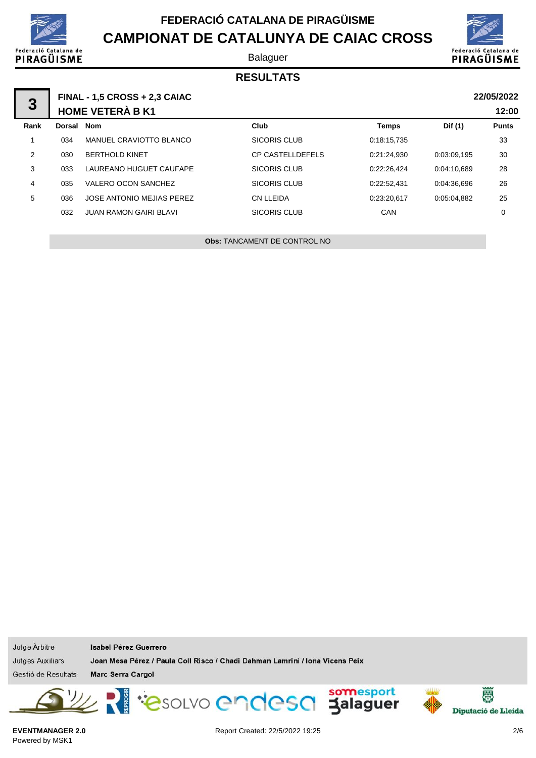

Balaguer



## **RESULTATS**

| 3    |        | <b>FINAL - 1,5 CROSS + 2,3 CAIAC</b><br><b>HOME VETERÀ B K1</b> |                         |              |             | 22/05/2022<br>12:00 |
|------|--------|-----------------------------------------------------------------|-------------------------|--------------|-------------|---------------------|
| Rank | Dorsal | Nom                                                             | Club                    | <b>Temps</b> | Dif (1)     | <b>Punts</b>        |
|      | 034    | MANUEL CRAVIOTTO BLANCO                                         | <b>SICORIS CLUB</b>     | 0:18:15,735  |             | 33                  |
| 2    | 030    | <b>BERTHOLD KINET</b>                                           | <b>CP CASTELLDEFELS</b> | 0:21:24.930  | 0:03:09.195 | 30                  |
| 3    | 033    | LAUREANO HUGUET CAUFAPE                                         | SICORIS CLUB            | 0:22:26.424  | 0:04:10.689 | 28                  |
| 4    | 035    | VALERO OCON SANCHEZ                                             | <b>SICORIS CLUB</b>     | 0:22:52.431  | 0:04:36.696 | 26                  |
| 5    | 036    | JOSE ANTONIO MEJIAS PEREZ                                       | CN LLEIDA               | 0:23:20.617  | 0:05:04.882 | 25                  |
|      | 032    | <b>JUAN RAMON GAIRI BLAVI</b>                                   | SICORIS CLUB            | CAN          |             | 0                   |
|      |        |                                                                 |                         |              |             |                     |

**Obs:** TANCAMENT DE CONTROL NO

| Jutge Arbitre    |
|------------------|
| Jutges Auxiliars |

Isabel Pérez Guerrero

Joan Mesa Pérez / Paula Coll Risco / Chadi Dahman Lamrini / Iona Vicens Peix

Gestió de Resultats

Marc Serra Cargol



**EVENTMANAGER 2.0** Powered by MSK1

Report Created: 22/5/2022 19:25 2/6



圏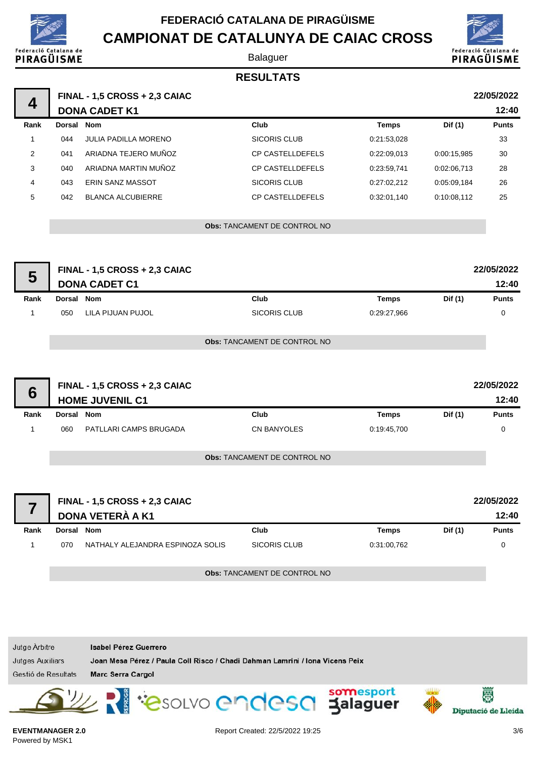

**CAMPIONAT DE CATALUNYA DE CAIAC CROSS** Federació Catalana de PIRAGÜISME

#### Balaguer



## **RESULTATS**

|      |            | <b>FINAL - 1,5 CROSS + 2,3 CAIAC</b> |                                     |              |             | 22/05/2022   |
|------|------------|--------------------------------------|-------------------------------------|--------------|-------------|--------------|
| 4    |            | <b>DONA CADET K1</b>                 |                                     |              |             | 12:40        |
| Rank | Dorsal Nom |                                      | Club                                | <b>Temps</b> | Dif (1)     | <b>Punts</b> |
| 1    | 044        | <b>JULIA PADILLA MORENO</b>          | <b>SICORIS CLUB</b>                 | 0:21:53,028  |             | 33           |
| 2    | 041        | ARIADNA TEJERO MUÑOZ                 | <b>CP CASTELLDEFELS</b>             | 0:22:09.013  | 0:00:15.985 | 30           |
| 3    | 040        | ARIADNA MARTIN MUÑOZ                 | <b>CP CASTELLDEFELS</b>             | 0:23:59,741  | 0:02:06,713 | 28           |
| 4    | 043        | <b>ERIN SANZ MASSOT</b>              | <b>SICORIS CLUB</b>                 | 0:27:02,212  | 0:05:09.184 | 26           |
| 5    | 042        | <b>BLANCA ALCUBIERRE</b>             | <b>CP CASTELLDEFELS</b>             | 0:32:01,140  | 0:10:08.112 | 25           |
|      |            |                                      |                                     |              |             |              |
|      |            |                                      | <b>Obs: TANCAMENT DE CONTROL NO</b> |              |             |              |
|      |            |                                      |                                     |              |             |              |

| Ð    |            | FINAL - 1,5 CROSS + 2,3 CAIAC<br><b>DONA CADET C1</b> |                                     |             |         | 22/05/2022<br>12:40 |
|------|------------|-------------------------------------------------------|-------------------------------------|-------------|---------|---------------------|
| Rank | Dorsal Nom |                                                       | Club                                | Temps       | Dif (1) | <b>Punts</b>        |
|      | 050        | LILA PIJUAN PUJOL                                     | SICORIS CLUB                        | 0:29:27.966 |         |                     |
|      |            |                                                       | <b>Obs: TANCAMENT DE CONTROL NO</b> |             |         |                     |

| 6    |            | FINAL - 1,5 CROSS + 2,3 CAIAC<br><b>HOME JUVENIL C1</b> |                                     |             |         | 22/05/2022<br>12:40 |
|------|------------|---------------------------------------------------------|-------------------------------------|-------------|---------|---------------------|
| Rank | Dorsal Nom |                                                         | Club                                | Temps       | Dif (1) | <b>Punts</b>        |
|      | 060        | PATLLARI CAMPS BRUGADA                                  | CN BANYOLES                         | 0:19:45,700 |         | $\Omega$            |
|      |            |                                                         | <b>Obs: TANCAMENT DE CONTROL NO</b> |             |         |                     |

|      | <b>FINAL - 1,5 CROSS + 2,3 CAIAC</b><br>DONA VETERÀ A K1 |                                  |              |              |         | 22/05/2022<br>12:40 |
|------|----------------------------------------------------------|----------------------------------|--------------|--------------|---------|---------------------|
| Rank | Dorsal Nom                                               |                                  | Club         | <b>Temps</b> | Dif (1) | <b>Punts</b>        |
|      | 070                                                      | NATHALY ALEJANDRA ESPINOZA SOLIS | SICORIS CLUB | 0:31:00,762  |         |                     |

**Obs:** TANCAMENT DE CONTROL NO

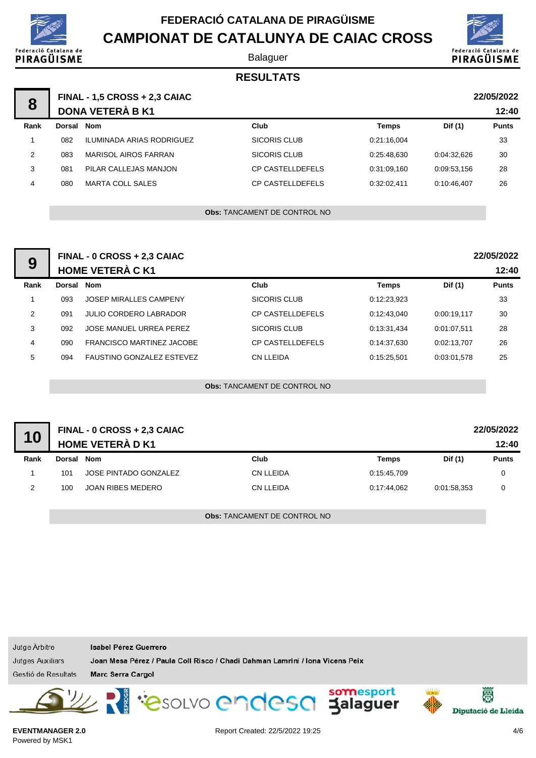

Balaguer



### **RESULTATS**

| 8             |        | <b>FINAL - 1,5 CROSS + 2,3 CAIAC</b><br><b>DONA VETERÀ B K1</b> |                         |              |             | 22/05/2022<br>12:40 |
|---------------|--------|-----------------------------------------------------------------|-------------------------|--------------|-------------|---------------------|
| Rank          | Dorsal | Nom                                                             | Club                    | <b>Temps</b> | Dif (1)     | <b>Punts</b>        |
|               | 082    | ILUMINADA ARIAS RODRIGUEZ                                       | SICORIS CLUB            | 0:21:16,004  |             | 33                  |
| $\mathcal{P}$ | 083    | MARISOL AIROS FARRAN                                            | SICORIS CLUB            | 0:25:48.630  | 0:04:32.626 | 30                  |
| 3             | 081    | PILAR CALLEJAS MANJON                                           | <b>CP CASTELLDEFELS</b> | 0:31:09,160  | 0:09:53.156 | 28                  |
| 4             | 080    | <b>MARTA COLL SALES</b>                                         | <b>CP CASTELLDEFELS</b> | 0:32:02.411  | 0:10:46.407 | 26                  |
|               |        |                                                                 |                         |              |             |                     |

**Obs:** TANCAMENT DE CONTROL NO

| 9             |            | FINAL - 0 CROSS + 2,3 CAIAC      |                         |             |             | 22/05/2022   |
|---------------|------------|----------------------------------|-------------------------|-------------|-------------|--------------|
|               |            | <b>HOME VETERÀ C K1</b>          |                         |             |             | 12:40        |
| Rank          | Dorsal Nom |                                  | Club                    | Temps       | Dif (1)     | <b>Punts</b> |
|               | 093        | <b>JOSEP MIRALLES CAMPENY</b>    | SICORIS CLUB            | 0:12:23.923 |             | 33           |
| $\mathcal{P}$ | 091        | <b>JULIO CORDERO LABRADOR</b>    | <b>CP CASTELLDEFELS</b> | 0.12.43.040 | 0.00:19.117 | 30           |
| 3             | 092        | JOSE MANUEL URREA PEREZ          | SICORIS CLUB            | 0:13:31,434 | 0:01:07.511 | 28           |
| 4             | 090        | <b>FRANCISCO MARTINEZ JACOBE</b> | <b>CP CASTELLDEFELS</b> | 0:14:37.630 | 0:02:13.707 | 26           |
| 5             | 094        | <b>FAUSTINO GONZALEZ ESTEVEZ</b> | <b>CN LLEIDA</b>        | 0:15:25.501 | 0.03.01.578 | 25           |
|               |            |                                  |                         |             |             |              |

**Obs:** TANCAMENT DE CONTROL NO

| 10   |        | <b>FINAL - 0 CROSS + 2,3 CAIAC</b><br><b>HOME VETERÀ D K1</b> |           |             |             | 22/05/2022<br>12:40 |
|------|--------|---------------------------------------------------------------|-----------|-------------|-------------|---------------------|
| Rank | Dorsal | Nom                                                           | Club      | Temps       | Dif (1)     | <b>Punts</b>        |
|      | 101    | JOSE PINTADO GONZALEZ                                         | CN LLEIDA | 0:15:45.709 |             |                     |
|      | 100    | JOAN RIBES MEDERO                                             | CN LLEIDA | 0:17:44.062 | 0:01:58.353 |                     |

**Obs:** TANCAMENT DE CONTROL NO

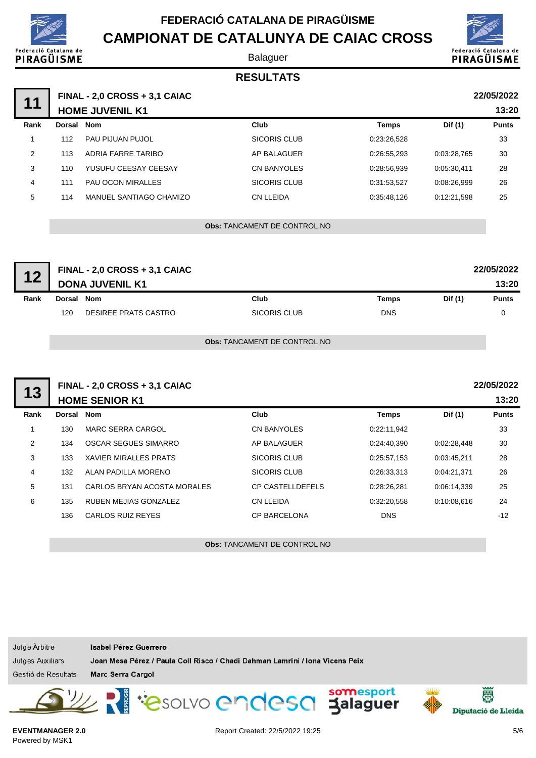

**CAMPIONAT DE CATALUNYA DE CAIAC CROSS** talana de



Balaguer

## **RESULTATS**

| 11   |                        | FINAL - 2,0 CROSS + 3,1 CAIAC |                    |              |             | 22/05/2022   |  |
|------|------------------------|-------------------------------|--------------------|--------------|-------------|--------------|--|
|      | <b>HOME JUVENIL K1</b> |                               |                    |              |             | 13:20        |  |
| Rank | Dorsal Nom             |                               | Club               | <b>Temps</b> | Dif (1)     | <b>Punts</b> |  |
|      | 112                    | <b>PAU PIJUAN PUJOL</b>       | SICORIS CLUB       | 0:23:26,528  |             | 33           |  |
| 2    | 113                    | ADRIA FARRE TARIBO            | AP BALAGUER        | 0:26:55.293  | 0:03:28.765 | 30           |  |
| 3    | 110                    | YUSUFU CEESAY CEESAY          | <b>CN BANYOLES</b> | 0:28:56.939  | 0:05:30.411 | 28           |  |
| 4    | 111                    | <b>PAU OCON MIRALLES</b>      | SICORIS CLUB       | 0:31:53.527  | 0:08:26.999 | 26           |  |
| 5    | 114                    | MANUEL SANTIAGO CHAMIZO       | CN LLEIDA          | 0:35:48.126  | 0:12:21.598 | 25           |  |
|      |                        |                               |                    |              |             |              |  |

**Obs:** TANCAMENT DE CONTROL NO

| 12   |            | FINAL - 2,0 CROSS + 3,1 CAIAC<br><b>DONA JUVENIL K1</b> |                                     |            |         | 22/05/2022<br>13:20 |
|------|------------|---------------------------------------------------------|-------------------------------------|------------|---------|---------------------|
| Rank | Dorsal Nom |                                                         | Club                                | Temps      | Dif (1) | <b>Punts</b>        |
|      | 120        | DESIREE PRATS CASTRO                                    | SICORIS CLUB                        | <b>DNS</b> |         | 0                   |
|      |            |                                                         | <b>Obs: TANCAMENT DE CONTROL NO</b> |            |         |                     |

|      |                       | FINAL - 2,0 CROSS + 3,1 CAIAC |                         |              |             | 22/05/2022   |
|------|-----------------------|-------------------------------|-------------------------|--------------|-------------|--------------|
| 13   | <b>HOME SENIOR K1</b> |                               |                         |              |             | 13:20        |
| Rank | Dorsal Nom            |                               | Club                    | <b>Temps</b> | Dif (1)     | <b>Punts</b> |
|      | 130                   | <b>MARC SERRA CARGOL</b>      | <b>CN BANYOLES</b>      | 0:22:11,942  |             | 33           |
| 2    | 134                   | <b>OSCAR SEGUES SIMARRO</b>   | AP BALAGUER             | 0:24:40,390  | 0:02:28.448 | 30           |
| 3    | 133                   | <b>XAVIER MIRALLES PRATS</b>  | <b>SICORIS CLUB</b>     | 0:25:57,153  | 0.03.45,211 | 28           |
| 4    | 132                   | ALAN PADILLA MORENO           | <b>SICORIS CLUB</b>     | 0:26:33,313  | 0:04:21.371 | 26           |
| 5    | 131                   | CARLOS BRYAN ACOSTA MORALES   | <b>CP CASTELLDEFELS</b> | 0:28:26,281  | 0:06:14,339 | 25           |
| 6    | 135                   | RUBEN MEJIAS GONZALEZ         | <b>CN LLEIDA</b>        | 0:32:20,558  | 0:10:08.616 | 24           |
|      | 136                   | CARLOS RUIZ REYES             | <b>CP BARCELONA</b>     | <b>DNS</b>   |             | $-12$        |
|      |                       |                               |                         |              |             |              |

**Obs:** TANCAMENT DE CONTROL NO

Jutge Arbitre Isabel Pérez Guerrero Jutges Auxiliars Joan Mesa Pérez / Paula Coll Risco / Chadi Dahman Lamrini / Iona Vicens Peix Gestió de Resultats Marc Serra Cargol PasoLVO endesa Jalaguer 圏 Diputació de Lleida

```
EVENTMANAGER 2.0
Powered by MSK1
```
Federació

PIRAGÜISME

Report Created: 22/5/2022 19:25 5/6